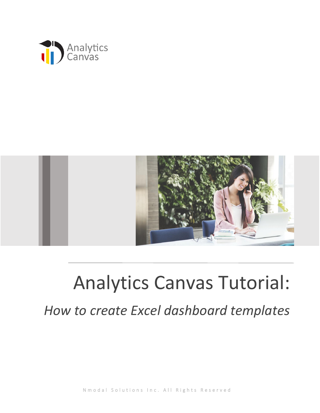



## Analytics Canvas Tutorial:

*How to create Excel dashboard templates*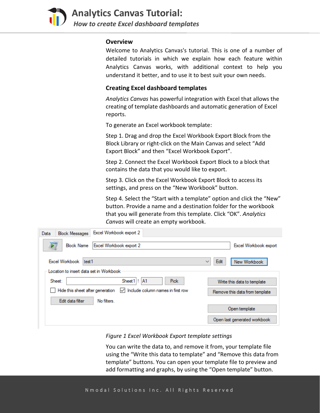

## **Overview**

Welcome to Analytics Canvas's tutorial. This is one of a number of detailed tutorials in which we explain how each feature within Analytics Canvas works, with additional context to help you understand it better, and to use it to best suit your own needs.

## **Creating Excel dashboard templates**

*Analytics Canvas* has powerful integration with Excel that allows the creating of template dashboards and automatic generation of Excel reports.

To generate an Excel workbook template:

Step 1. Drag and drop the Excel Workbook Export Block from the Block Library or right-click on the Main Canvas and select "Add Export Block" and then "Excel Workbook Export".

Step 2. Connect the Excel Workbook Export Block to a block that contains the data that you would like to export.

Step 3. Click on the Excel Workbook Export Block to access its settings, and press on the "New Workbook" button.

Step 4. Select the "Start with a template" option and click the "New" button. Provide a name and a destination folder for the workbook that you will generate from this template. Click "OK". *Analytics Canvas* will create an empty workbook.

| Excel Workbook export 2<br><b>Block Messages</b><br>Data                                            |                                                 |
|-----------------------------------------------------------------------------------------------------|-------------------------------------------------|
| Excel Workbook export 2<br><b>Block Name</b>                                                        | Excel Workbook export                           |
| <b>Excel Workbook</b><br>test1<br>Location to insert data set in Workbook                           | Edit<br>New Workbook<br>$\sim$                  |
| Sheet 1! A1<br>Sheet:<br>Hide this sheet after generation<br>Include column names in first row<br>∨ | <b>Pick</b><br>Write this data to template      |
| Edit data filter<br>No filters                                                                      | Remove this data from template<br>Open template |
|                                                                                                     | Open last generated workbook                    |

*Figure 1 Excel Workbook Export template settings*

You can write the data to, and remove it from, your template file using the "Write this data to template" and "Remove this data from template" buttons. You can open your template file to preview and add formatting and graphs, by using the "Open template" button.